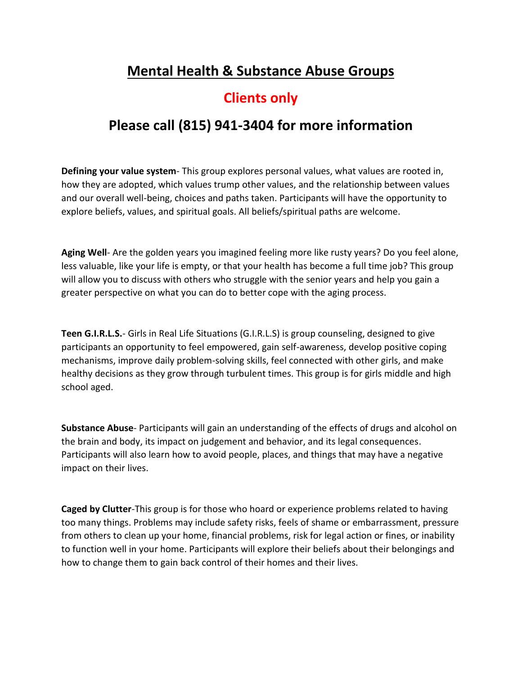## **Mental Health & Substance Abuse Groups**

## **Clients only**

## **Please call (815) 941-3404 for more information**

**Defining your value system**- This group explores personal values, what values are rooted in, how they are adopted, which values trump other values, and the relationship between values and our overall well-being, choices and paths taken. Participants will have the opportunity to explore beliefs, values, and spiritual goals. All beliefs/spiritual paths are welcome.

**Aging Well**- Are the golden years you imagined feeling more like rusty years? Do you feel alone, less valuable, like your life is empty, or that your health has become a full time job? This group will allow you to discuss with others who struggle with the senior years and help you gain a greater perspective on what you can do to better cope with the aging process.

**Teen G.I.R.L.S.**- Girls in Real Life Situations (G.I.R.L.S) is group counseling, designed to give participants an opportunity to feel empowered, gain self-awareness, develop positive coping mechanisms, improve daily problem-solving skills, feel connected with other girls, and make healthy decisions as they grow through turbulent times. This group is for girls middle and high school aged.

**Substance Abuse**- Participants will gain an understanding of the effects of drugs and alcohol on the brain and body, its impact on judgement and behavior, and its legal consequences. Participants will also learn how to avoid people, places, and things that may have a negative impact on their lives.

**Caged by Clutter**-This group is for those who hoard or experience problems related to having too many things. Problems may include safety risks, feels of shame or embarrassment, pressure from others to clean up your home, financial problems, risk for legal action or fines, or inability to function well in your home. Participants will explore their beliefs about their belongings and how to change them to gain back control of their homes and their lives.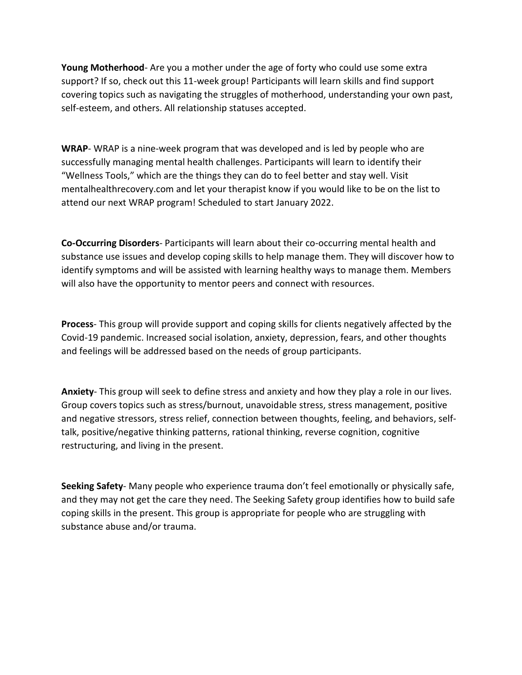**Young Motherhood**- Are you a mother under the age of forty who could use some extra support? If so, check out this 11-week group! Participants will learn skills and find support covering topics such as navigating the struggles of motherhood, understanding your own past, self-esteem, and others. All relationship statuses accepted.

**WRAP**- WRAP is a nine-week program that was developed and is led by people who are successfully managing mental health challenges. Participants will learn to identify their "Wellness Tools," which are the things they can do to feel better and stay well. Visit mentalhealthrecovery.com and let your therapist know if you would like to be on the list to attend our next WRAP program! Scheduled to start January 2022.

**Co-Occurring Disorders**- Participants will learn about their co-occurring mental health and substance use issues and develop coping skills to help manage them. They will discover how to identify symptoms and will be assisted with learning healthy ways to manage them. Members will also have the opportunity to mentor peers and connect with resources.

**Process**- This group will provide support and coping skills for clients negatively affected by the Covid-19 pandemic. Increased social isolation, anxiety, depression, fears, and other thoughts and feelings will be addressed based on the needs of group participants.

**Anxiety**- This group will seek to define stress and anxiety and how they play a role in our lives. Group covers topics such as stress/burnout, unavoidable stress, stress management, positive and negative stressors, stress relief, connection between thoughts, feeling, and behaviors, selftalk, positive/negative thinking patterns, rational thinking, reverse cognition, cognitive restructuring, and living in the present.

**Seeking Safety**- Many people who experience trauma don't feel emotionally or physically safe, and they may not get the care they need. The Seeking Safety group identifies how to build safe coping skills in the present. This group is appropriate for people who are struggling with substance abuse and/or trauma.